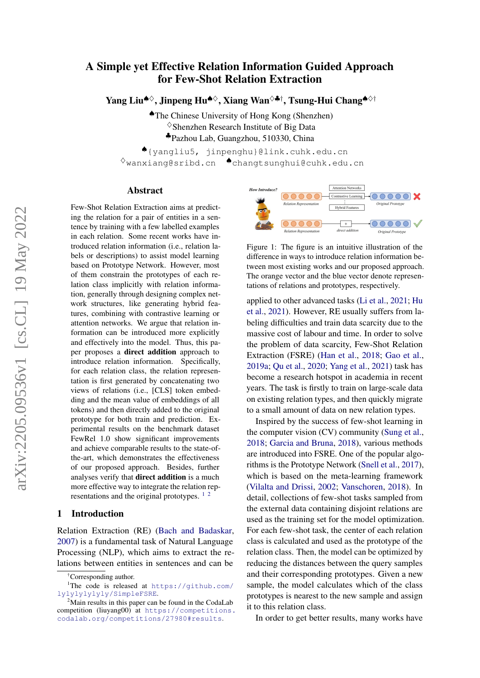# A Simple yet Effective Relation Information Guided Approach for Few-Shot Relation Extraction

Yang Liu<sup>◆◇</sup>, Jinpeng Hu<sup>◆◇</sup>, Xiang Wan<sup>◇◆†</sup>, Tsung-Hui Chang<sup>◆◇†</sup>

♠The Chinese University of Hong Kong (Shenzhen)  $\diamond$ Shenzhen Research Institute of Big Data ♣Pazhou Lab, Guangzhou, 510330, China

♠{yangliu5, jinpenghu}@link.cuhk.edu.cn ♦wanxiang@sribd.cn ♠changtsunghui@cuhk.edu.cn

#### Abstract

Few-Shot Relation Extraction aims at predicting the relation for a pair of entities in a sentence by training with a few labelled examples in each relation. Some recent works have introduced relation information (i.e., relation labels or descriptions) to assist model learning based on Prototype Network. However, most of them constrain the prototypes of each relation class implicitly with relation information, generally through designing complex network structures, like generating hybrid features, combining with contrastive learning or attention networks. We argue that relation information can be introduced more explicitly and effectively into the model. Thus, this paper proposes a direct addition approach to introduce relation information. Specifically, for each relation class, the relation representation is first generated by concatenating two views of relations (i.e., [CLS] token embedding and the mean value of embeddings of all tokens) and then directly added to the original prototype for both train and prediction. Experimental results on the benchmark dataset FewRel 1.0 show significant improvements and achieve comparable results to the state-ofthe-art, which demonstrates the effectiveness of our proposed approach. Besides, further analyses verify that direct addition is a much more effective way to integrate the relation representations and the original prototypes.  $1\frac{2}{3}$  $1\frac{2}{3}$  $1\frac{2}{3}$  $1\frac{2}{3}$ 

#### 1 Introduction

Relation Extraction (RE) [\(Bach and Badaskar,](#page-5-0) [2007\)](#page-5-0) is a fundamental task of Natural Language Processing (NLP), which aims to extract the relations between entities in sentences and can be

<span id="page-0-0"></span>†Corresponding author.

<span id="page-0-2"></span>

Figure 1: The figure is an intuitive illustration of the difference in ways to introduce relation information between most existing works and our proposed approach. The orange vector and the blue vector denote representations of relations and prototypes, respectively.

applied to other advanced tasks [\(Li et al.,](#page-5-1) [2021;](#page-5-1) [Hu](#page-5-2) [et al.,](#page-5-2) [2021\)](#page-5-2). However, RE usually suffers from labeling difficulties and train data scarcity due to the massive cost of labour and time. In order to solve the problem of data scarcity, Few-Shot Relation Extraction (FSRE) [\(Han et al.,](#page-5-3) [2018;](#page-5-3) [Gao et al.,](#page-5-4) [2019a;](#page-5-4) [Qu et al.,](#page-5-5) [2020;](#page-5-5) [Yang et al.,](#page-5-6) [2021\)](#page-5-6) task has become a research hotspot in academia in recent years. The task is firstly to train on large-scale data on existing relation types, and then quickly migrate to a small amount of data on new relation types.

Inspired by the success of few-shot learning in the computer vision (CV) community [\(Sung et al.,](#page-5-7) [2018;](#page-5-7) [Garcia and Bruna,](#page-5-8) [2018\)](#page-5-8), various methods are introduced into FSRE. One of the popular algorithms is the Prototype Network [\(Snell et al.,](#page-5-9) [2017\)](#page-5-9), which is based on the meta-learning framework [\(Vilalta and Drissi,](#page-5-10) [2002;](#page-5-10) [Vanschoren,](#page-5-11) [2018\)](#page-5-11). In detail, collections of few-shot tasks sampled from the external data containing disjoint relations are used as the training set for the model optimization. For each few-shot task, the center of each relation class is calculated and used as the prototype of the relation class. Then, the model can be optimized by reducing the distances between the query samples and their corresponding prototypes. Given a new sample, the model calculates which of the class prototypes is nearest to the new sample and assign it to this relation class.

In order to get better results, many works have

<sup>&</sup>lt;sup>1</sup>The code is released at [https://github.com/](https://github.com/lylylylylyly/SimpleFSRE) [lylylylylyly/SimpleFSRE](https://github.com/lylylylylyly/SimpleFSRE).

<span id="page-0-1"></span> $2^2$ Main results in this paper can be found in the CodaLab competition (liuyang00) at [https://competitions.](https://competitions.codalab.org/competitions/27980#results) [codalab.org/competitions/27980#results](https://competitions.codalab.org/competitions/27980#results).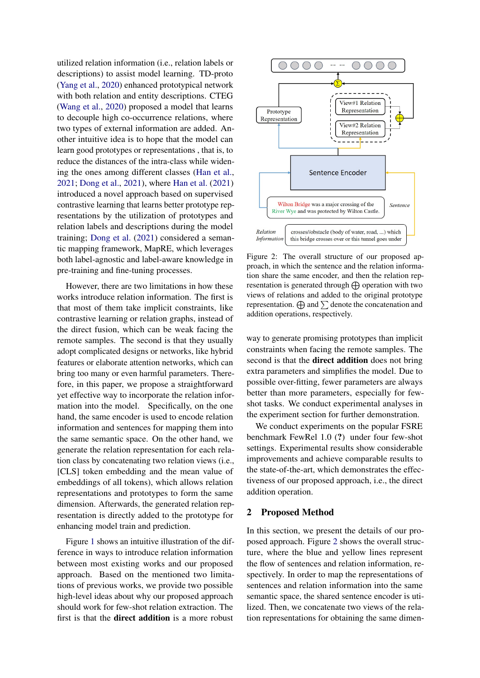utilized relation information (i.e., relation labels or descriptions) to assist model learning. TD-proto [\(Yang et al.,](#page-5-12) [2020\)](#page-5-12) enhanced prototypical network with both relation and entity descriptions. CTEG [\(Wang et al.,](#page-5-13) [2020\)](#page-5-13) proposed a model that learns to decouple high co-occurrence relations, where two types of external information are added. Another intuitive idea is to hope that the model can learn good prototypes or representations , that is, to reduce the distances of the intra-class while widening the ones among different classes [\(Han et al.,](#page-5-14) [2021;](#page-5-14) [Dong et al.,](#page-5-15) [2021\)](#page-5-15), where [Han et al.](#page-5-14) [\(2021\)](#page-5-14) introduced a novel approach based on supervised contrastive learning that learns better prototype representations by the utilization of prototypes and relation labels and descriptions during the model training; [Dong et al.](#page-5-15) [\(2021\)](#page-5-15) considered a semantic mapping framework, MapRE, which leverages both label-agnostic and label-aware knowledge in pre-training and fine-tuning processes.

However, there are two limitations in how these works introduce relation information. The first is that most of them take implicit constraints, like contrastive learning or relation graphs, instead of the direct fusion, which can be weak facing the remote samples. The second is that they usually adopt complicated designs or networks, like hybrid features or elaborate attention networks, which can bring too many or even harmful parameters. Therefore, in this paper, we propose a straightforward yet effective way to incorporate the relation information into the model. Specifically, on the one hand, the same encoder is used to encode relation information and sentences for mapping them into the same semantic space. On the other hand, we generate the relation representation for each relation class by concatenating two relation views (i.e., [CLS] token embedding and the mean value of embeddings of all tokens), which allows relation representations and prototypes to form the same dimension. Afterwards, the generated relation representation is directly added to the prototype for enhancing model train and prediction.

Figure [1](#page-0-2) shows an intuitive illustration of the difference in ways to introduce relation information between most existing works and our proposed approach. Based on the mentioned two limitations of previous works, we provide two possible high-level ideas about why our proposed approach should work for few-shot relation extraction. The first is that the direct addition is a more robust

<span id="page-1-0"></span>

Figure 2: The overall structure of our proposed approach, in which the sentence and the relation information share the same encoder, and then the relation representation is generated through  $\bigoplus$  operation with two views of relations and added to the original prototype representation.  $\bigoplus$  and  $\sum$  denote the concatenation and addition operations, respectively.

way to generate promising prototypes than implicit constraints when facing the remote samples. The second is that the direct addition does not bring extra parameters and simplifies the model. Due to possible over-fitting, fewer parameters are always better than more parameters, especially for fewshot tasks. We conduct experimental analyses in the experiment section for further demonstration.

We conduct experiments on the popular FSRE benchmark FewRel 1.0 (?) under four few-shot settings. Experimental results show considerable improvements and achieve comparable results to the state-of-the-art, which demonstrates the effectiveness of our proposed approach, i.e., the direct addition operation.

#### 2 Proposed Method

In this section, we present the details of our proposed approach. Figure [2](#page-1-0) shows the overall structure, where the blue and yellow lines represent the flow of sentences and relation information, respectively. In order to map the representations of sentences and relation information into the same semantic space, the shared sentence encoder is utilized. Then, we concatenate two views of the relation representations for obtaining the same dimen-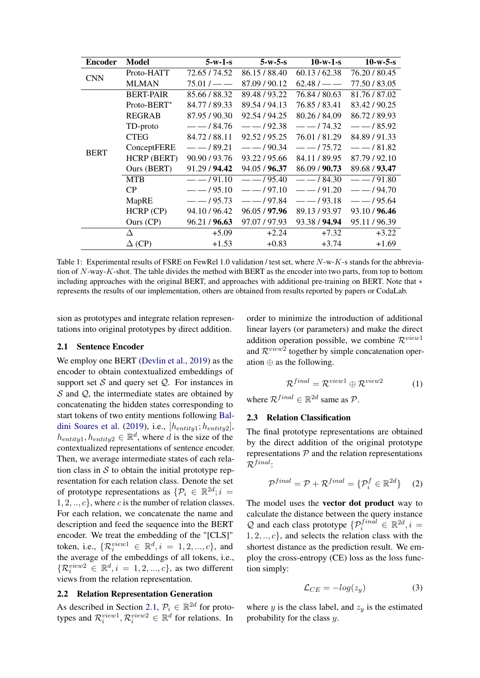<span id="page-2-1"></span>

| <b>Encoder</b> | Model              | $5-w-1-s$     | $5-w-5-S$     | $10-w-1-s$    | $10-w-5-S$    |
|----------------|--------------------|---------------|---------------|---------------|---------------|
| <b>CNN</b>     | Proto-HATT         | 72.65 / 74.52 | 86.15 / 88.40 | 60.13 / 62.38 | 76.20 / 80.45 |
|                | <b>MLMAN</b>       | $75.01 / - -$ | 87.09 / 90.12 | $62.48 / - -$ | 77.50 / 83.05 |
|                | <b>BERT-PAIR</b>   | 85.66/88.32   | 89.48 / 93.22 | 76.84 / 80.63 | 81.76 / 87.02 |
|                | Proto-BERT*        | 84.77 / 89.33 | 89.54 / 94.13 | 76.85 / 83.41 | 83.42/90.25   |
|                | <b>REGRAB</b>      | 87.95 / 90.30 | 92.54 / 94.25 | 80.26 / 84.09 | 86.72/89.93   |
|                | TD-proto           | $--/84.76$    | $-192.38$     | $-174.32$     | $- - 185.92$  |
|                | <b>CTEG</b>        | 84.72/88.11   | 92.52/95.25   | 76.01/81.29   | 84.89/91.33   |
| <b>BERT</b>    | ConceptFERE        | $--/89.21$    | $-$ /90.34    | $-175.72$     | $- - 181.82$  |
|                | <b>HCRP (BERT)</b> | 90.90 / 93.76 | 93.22 / 95.66 | 84.11/89.95   | 87.79 / 92.10 |
|                | Ours (BERT)        | 91.29 / 94.42 | 94.05 / 96.37 | 86.09 / 90.73 | 89.68 / 93.47 |
|                | <b>MTB</b>         | $- - 191.10$  | $- - 195.40$  | $--/84.30$    | $--/91.80$    |
|                | CP                 | $- - 195.10$  | $--/97.10$    | $--/91.20$    | $--/94.70$    |
|                | MapRE              | $-$ /95.73    | $--/97.84$    | $-$ /93.18    | $-$ /95.64    |
|                | HCRP (CP)          | 94.10 / 96.42 | 96.05 / 97.96 | 89.13/93.97   | 93.10 / 96.46 |
|                | Ours (CP)          | 96.21 / 96.63 | 97.07 / 97.93 | 93.38 / 94.94 | 95.11/96.39   |
|                | Δ                  | $+5.09$       | $+2.24$       | $+7.32$       | $+3.22$       |
|                | $\Delta$ (CP)      | $+1.53$       | $+0.83$       | $+3.74$       | $+1.69$       |

Table 1: Experimental results of FSRE on FewRel 1.0 validation / test set, where N-w-K-s stands for the abbreviation of  $N$ -way-K-shot. The table divides the method with BERT as the encoder into two parts, from top to bottom including approaches with the original BERT, and approaches with additional pre-training on BERT. Note that ∗ represents the results of our implementation, others are obtained from results reported by papers or CodaLab.

sion as prototypes and integrate relation representations into original prototypes by direct addition.

#### <span id="page-2-0"></span>2.1 Sentence Encoder

We employ one BERT [\(Devlin et al.,](#page-5-16) [2019\)](#page-5-16) as the encoder to obtain contextualized embeddings of support set  $S$  and query set  $Q$ . For instances in  $S$  and  $Q$ , the intermediate states are obtained by concatenating the hidden states corresponding to start tokens of two entity mentions following [Bal](#page-5-17)[dini Soares et al.](#page-5-17) [\(2019\)](#page-5-17), i.e.,  $[h_{entity1}; h_{entity2}],$  $h_{entity1}, h_{entity2} \in \mathbb{R}^d$ , where d is the size of the contextualized representations of sentence encoder. Then, we average intermediate states of each relation class in  $S$  to obtain the initial prototype representation for each relation class. Denote the set of prototype representations as  $\{\mathcal{P}_i \in \mathbb{R}^{2d}; i =$  $1, 2, \ldots, c\}$ , where c is the number of relation classes. For each relation, we concatenate the name and description and feed the sequence into the BERT encoder. We treat the embedding of the "[CLS]" token, i.e.,  $\{ \mathcal{R}^{view1}_i \in \mathbb{R}^d, i = 1, 2, ..., c \}$ , and the average of the embeddings of all tokens, i.e.,  $\{\mathcal{R}_i^{view2} \in \mathbb{R}^d, i = 1, 2, ..., c\}$ , as two different views from the relation representation.

### <span id="page-2-2"></span>2.2 Relation Representation Generation

As described in Section [2.1,](#page-2-0)  $\mathcal{P}_i \in \mathbb{R}^{2d}$  for prototypes and  $\mathcal{R}_i^{view1}, \mathcal{R}_i^{view2} \in \mathbb{R}^d$  for relations. In

order to minimize the introduction of additional linear layers (or parameters) and make the direct addition operation possible, we combine  $\mathcal{R}^{view1}$ and  $\mathcal{R}^{view2}$  together by simple concatenation operation ⊕ as the following.

$$
\mathcal{R}^{final} = \mathcal{R}^{view1} \oplus \mathcal{R}^{view2} \tag{1}
$$

where  $\mathcal{R}^{final} \in \mathbb{R}^{2d}$  same as  $\mathcal{P}$ .

#### 2.3 Relation Classification

The final prototype representations are obtained by the direct addition of the original prototype representations  $P$  and the relation representations  $\mathcal{R}^{final}$ .

$$
\mathcal{P}^{final} = \mathcal{P} + \mathcal{R}^{final} = \{ \mathcal{P}_i^f \in \mathbb{R}^{2d} \} \tag{2}
$$

The model uses the vector dot product way to calculate the distance between the query instance Q and each class prototype  $\{\mathcal{P}_i^{final} \in \mathbb{R}^{2d}, i =$  $1, 2, \ldots, c\}$ , and selects the relation class with the shortest distance as the prediction result. We employ the cross-entropy (CE) loss as the loss function simply:

$$
\mathcal{L}_{CE} = -log(z_y) \tag{3}
$$

where y is the class label, and  $z_y$  is the estimated probability for the class  $y$ .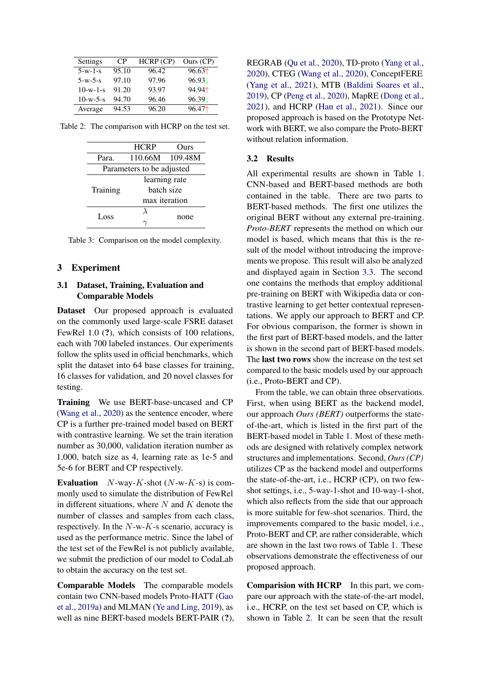<span id="page-3-0"></span>

| Settings   | C <sub>P</sub> | HCRP (CP) | Ours $(CP)$ |
|------------|----------------|-----------|-------------|
| $5-w-1-s$  | 95.10          | 96.42     | $96.63+$    |
| $5-w-5-s$  | 97.10          | 97.96     | 96.93L      |
| $10-w-1-s$ | 91.20          | 93.97     | 94.941      |
| $10-w-5-s$ | 94.70          | 96.46     | 96.39L      |
| Average    | 94.53          | 96.20     | 96.471      |

<span id="page-3-1"></span>Table 2: The comparison with HCRP on the test set.

|                           | <b>HCRP</b>   | Ours    |  |
|---------------------------|---------------|---------|--|
| Para.                     | 110.66M       | 109.48M |  |
| Parameters to be adjusted |               |         |  |
|                           | learning rate |         |  |
| Training                  | batch size    |         |  |
|                           | max iteration |         |  |
| Loss                      | λ             |         |  |
|                           |               | none    |  |

Table 3: Comparison on the model complexity.

#### 3 Experiment

## 3.1 Dataset, Training, Evaluation and Comparable Models

Dataset Our proposed approach is evaluated on the commonly used large-scale FSRE dataset FewRel 1.0 (?), which consists of 100 relations, each with 700 labeled instances. Our experiments follow the splits used in official benchmarks, which split the dataset into 64 base classes for training, 16 classes for validation, and 20 novel classes for testing.

Training We use BERT-base-uncased and CP [\(Wang et al.,](#page-5-13) [2020\)](#page-5-13) as the sentence encoder, where CP is a further pre-trained model based on BERT with contrastive learning. We set the train iteration number as 30,000, validation iteration number as 1,000, batch size as 4, learning rate as 1e-5 and 5e-6 for BERT and CP respectively.

**Evaluation**  $N$ -way-K-shot  $(N-w-K-s)$  is commonly used to simulate the distribution of FewRel in different situations, where  $N$  and  $K$  denote the number of classes and samples from each class, respectively. In the  $N-w-K$ -s scenario, accuracy is used as the performance metric. Since the label of the test set of the FewRel is not publicly available, we submit the prediction of our model to CodaLab to obtain the accuracy on the test set.

Comparable Models The comparable models contain two CNN-based models Proto-HATT [\(Gao](#page-5-4) [et al.,](#page-5-4) [2019a\)](#page-5-4) and MLMAN [\(Ye and Ling,](#page-5-18) [2019\)](#page-5-18), as well as nine BERT-based models BERT-PAIR (?), REGRAB [\(Qu et al.,](#page-5-5) [2020\)](#page-5-5), TD-proto [\(Yang et al.,](#page-5-12) [2020\)](#page-5-12), CTEG [\(Wang et al.,](#page-5-13) [2020\)](#page-5-13), ConceptFERE [\(Yang et al.,](#page-5-6) [2021\)](#page-5-6), MTB [\(Baldini Soares et al.,](#page-5-17) [2019\)](#page-5-17), CP [\(Peng et al.,](#page-5-19) [2020\)](#page-5-19), MapRE [\(Dong et al.,](#page-5-15) [2021\)](#page-5-15), and HCRP [\(Han et al.,](#page-5-14) [2021\)](#page-5-14). Since our proposed approach is based on the Prototype Network with BERT, we also compare the Proto-BERT without relation information.

#### 3.2 Results

All experimental results are shown in Table [1.](#page-2-1) CNN-based and BERT-based methods are both contained in the table. There are two parts to BERT-based methods. The first one utilizes the original BERT without any external pre-training. *Proto-BERT* represents the method on which our model is based, which means that this is the result of the model without introducing the improvements we propose. This result will also be analyzed and displayed again in Section [3.3.](#page-4-0) The second one contains the methods that employ additional pre-training on BERT with Wikipedia data or contrastive learning to get better contextual representations. We apply our approach to BERT and CP. For obvious comparison, the former is shown in the first part of BERT-based models, and the latter is shown in the second part of BERT-based models. The last two rows show the increase on the test set compared to the basic models used by our approach (i.e., Proto-BERT and CP).

From the table, we can obtain three observations. First, when using BERT as the backend model, our approach *Ours (BERT)* outperforms the stateof-the-art, which is listed in the first part of the BERT-based model in Table [1.](#page-2-1) Most of these methods are designed with relatively complex network structures and implementations. Second, *Ours (CP)* utilizes CP as the backend model and outperforms the state-of-the-art, i.e., HCRP (CP), on two fewshot settings, i.e., 5-way-1-shot and 10-way-1-shot, which also reflects from the side that our approach is more suitable for few-shot scenarios. Third, the improvements compared to the basic model, i.e., Proto-BERT and CP, are rather considerable, which are shown in the last two rows of Table [1.](#page-2-1) These observations demonstrate the effectiveness of our proposed approach.

Comparision with HCRP In this part, we compare our approach with the state-of-the-art model, i.e., HCRP, on the test set based on CP, which is shown in Table [2.](#page-3-0) It can be seen that the result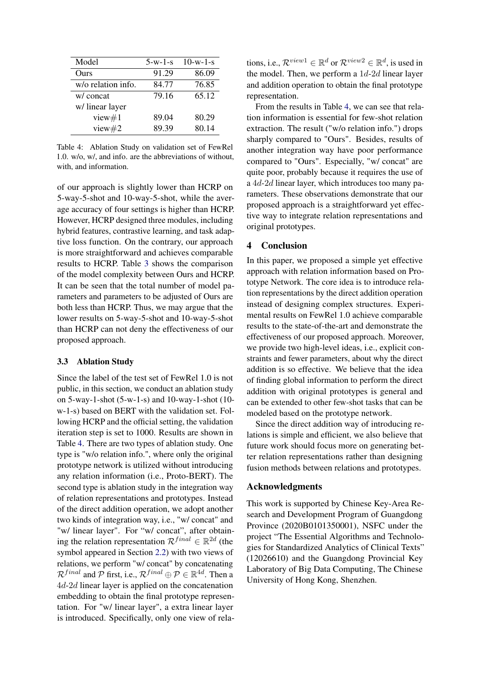<span id="page-4-1"></span>

| Model              | $5-w-1-s$ | $10-w-1-s$ |
|--------------------|-----------|------------|
| Ours               | 91.29     | 86.09      |
| w/o relation info. | 84.77     | 76.85      |
| w/ concat          | 79.16     | 65.12      |
| w/ linear layer    |           |            |
| view $#1$          | 89.04     | 80.29      |
| view $#2$          | 89.39     | 80.14      |

Table 4: Ablation Study on validation set of FewRel 1.0. w/o, w/, and info. are the abbreviations of without, with, and information.

of our approach is slightly lower than HCRP on 5-way-5-shot and 10-way-5-shot, while the average accuracy of four settings is higher than HCRP. However, HCRP designed three modules, including hybrid features, contrastive learning, and task adaptive loss function. On the contrary, our approach is more straightforward and achieves comparable results to HCRP. Table [3](#page-3-1) shows the comparison of the model complexity between Ours and HCRP. It can be seen that the total number of model parameters and parameters to be adjusted of Ours are both less than HCRP. Thus, we may argue that the lower results on 5-way-5-shot and 10-way-5-shot than HCRP can not deny the effectiveness of our proposed approach.

#### <span id="page-4-0"></span>3.3 Ablation Study

Since the label of the test set of FewRel 1.0 is not public, in this section, we conduct an ablation study on 5-way-1-shot (5-w-1-s) and 10-way-1-shot (10 w-1-s) based on BERT with the validation set. Following HCRP and the official setting, the validation iteration step is set to 1000. Results are shown in Table [4.](#page-4-1) There are two types of ablation study. One type is "w/o relation info.", where only the original prototype network is utilized without introducing any relation information (i.e., Proto-BERT). The second type is ablation study in the integration way of relation representations and prototypes. Instead of the direct addition operation, we adopt another two kinds of integration way, i.e., "w/ concat" and "w/ linear layer". For "w/ concat", after obtaining the relation representation  $\mathcal{R}^{final} \in \mathbb{R}^{2d}$  (the symbol appeared in Section [2.2\)](#page-2-2) with two views of relations, we perform "w/ concat" by concatenating  $\mathcal{R}^{final}$  and  $\mathcal P$  first, i.e.,  $\mathcal{R}^{final} \oplus \mathcal{P} \in \mathbb{R}^{4d}$ . Then a 4d-2d linear layer is applied on the concatenation embedding to obtain the final prototype representation. For "w/ linear layer", a extra linear layer is introduced. Specifically, only one view of rela-

tions, i.e.,  $\mathcal{R}^{view1} \in \mathbb{R}^d$  or  $\mathcal{R}^{view2} \in \mathbb{R}^d$ , is used in the model. Then, we perform a  $1d-2d$  linear layer and addition operation to obtain the final prototype representation.

From the results in Table [4,](#page-4-1) we can see that relation information is essential for few-shot relation extraction. The result ("w/o relation info.") drops sharply compared to "Ours". Besides, results of another integration way have poor performance compared to "Ours". Especially, "w/ concat" are quite poor, probably because it requires the use of a 4d-2d linear layer, which introduces too many parameters. These observations demonstrate that our proposed approach is a straightforward yet effective way to integrate relation representations and original prototypes.

### 4 Conclusion

In this paper, we proposed a simple yet effective approach with relation information based on Prototype Network. The core idea is to introduce relation representations by the direct addition operation instead of designing complex structures. Experimental results on FewRel 1.0 achieve comparable results to the state-of-the-art and demonstrate the effectiveness of our proposed approach. Moreover, we provide two high-level ideas, i.e., explicit constraints and fewer parameters, about why the direct addition is so effective. We believe that the idea of finding global information to perform the direct addition with original prototypes is general and can be extended to other few-shot tasks that can be modeled based on the prototype network.

Since the direct addition way of introducing relations is simple and efficient, we also believe that future work should focus more on generating better relation representations rather than designing fusion methods between relations and prototypes.

#### Acknowledgments

This work is supported by Chinese Key-Area Research and Development Program of Guangdong Province (2020B0101350001), NSFC under the project "The Essential Algorithms and Technologies for Standardized Analytics of Clinical Texts" (12026610) and the Guangdong Provincial Key Laboratory of Big Data Computing, The Chinese University of Hong Kong, Shenzhen.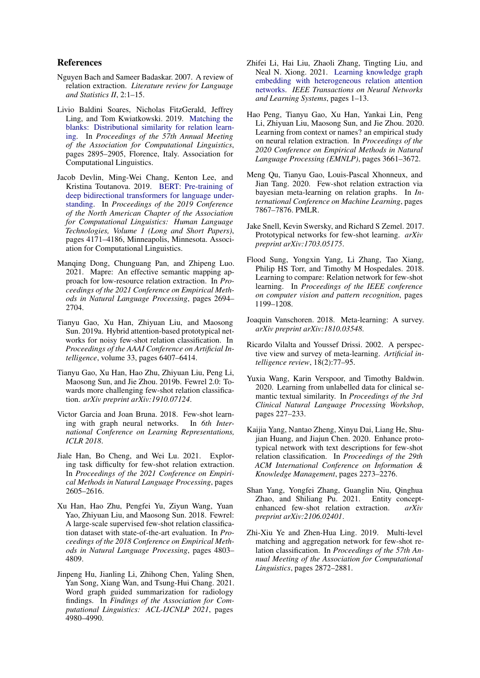#### References

- <span id="page-5-0"></span>Nguyen Bach and Sameer Badaskar. 2007. A review of relation extraction. *Literature review for Language and Statistics II*, 2:1–15.
- <span id="page-5-17"></span>Livio Baldini Soares, Nicholas FitzGerald, Jeffrey Ling, and Tom Kwiatkowski. 2019. [Matching the](https://doi.org/10.18653/v1/P19-1279) [blanks: Distributional similarity for relation learn](https://doi.org/10.18653/v1/P19-1279)[ing.](https://doi.org/10.18653/v1/P19-1279) In *Proceedings of the 57th Annual Meeting of the Association for Computational Linguistics*, pages 2895–2905, Florence, Italy. Association for Computational Linguistics.
- <span id="page-5-16"></span>Jacob Devlin, Ming-Wei Chang, Kenton Lee, and Kristina Toutanova. 2019. [BERT: Pre-training of](https://doi.org/10.18653/v1/N19-1423) [deep bidirectional transformers for language under](https://doi.org/10.18653/v1/N19-1423)[standing.](https://doi.org/10.18653/v1/N19-1423) In *Proceedings of the 2019 Conference of the North American Chapter of the Association for Computational Linguistics: Human Language Technologies, Volume 1 (Long and Short Papers)*, pages 4171–4186, Minneapolis, Minnesota. Association for Computational Linguistics.
- <span id="page-5-15"></span>Manqing Dong, Chunguang Pan, and Zhipeng Luo. 2021. Mapre: An effective semantic mapping approach for low-resource relation extraction. In *Proceedings of the 2021 Conference on Empirical Methods in Natural Language Processing*, pages 2694– 2704.
- <span id="page-5-4"></span>Tianyu Gao, Xu Han, Zhiyuan Liu, and Maosong Sun. 2019a. Hybrid attention-based prototypical networks for noisy few-shot relation classification. In *Proceedings of the AAAI Conference on Artificial Intelligence*, volume 33, pages 6407–6414.
- Tianyu Gao, Xu Han, Hao Zhu, Zhiyuan Liu, Peng Li, Maosong Sun, and Jie Zhou. 2019b. Fewrel 2.0: Towards more challenging few-shot relation classification. *arXiv preprint arXiv:1910.07124*.
- <span id="page-5-8"></span>Victor Garcia and Joan Bruna. 2018. Few-shot learning with graph neural networks. In *6th International Conference on Learning Representations, ICLR 2018*.
- <span id="page-5-14"></span>Jiale Han, Bo Cheng, and Wei Lu. 2021. Exploring task difficulty for few-shot relation extraction. In *Proceedings of the 2021 Conference on Empirical Methods in Natural Language Processing*, pages 2605–2616.
- <span id="page-5-3"></span>Xu Han, Hao Zhu, Pengfei Yu, Ziyun Wang, Yuan Yao, Zhiyuan Liu, and Maosong Sun. 2018. Fewrel: A large-scale supervised few-shot relation classification dataset with state-of-the-art evaluation. In *Proceedings of the 2018 Conference on Empirical Methods in Natural Language Processing*, pages 4803– 4809.
- <span id="page-5-2"></span>Jinpeng Hu, Jianling Li, Zhihong Chen, Yaling Shen, Yan Song, Xiang Wan, and Tsung-Hui Chang. 2021. Word graph guided summarization for radiology findings. In *Findings of the Association for Computational Linguistics: ACL-IJCNLP 2021*, pages 4980–4990.
- <span id="page-5-1"></span>Zhifei Li, Hai Liu, Zhaoli Zhang, Tingting Liu, and Neal N. Xiong. 2021. [Learning knowledge graph](https://doi.org/10.1109/TNNLS.2021.3055147) [embedding with heterogeneous relation attention](https://doi.org/10.1109/TNNLS.2021.3055147) [networks.](https://doi.org/10.1109/TNNLS.2021.3055147) *IEEE Transactions on Neural Networks and Learning Systems*, pages 1–13.
- <span id="page-5-19"></span>Hao Peng, Tianyu Gao, Xu Han, Yankai Lin, Peng Li, Zhiyuan Liu, Maosong Sun, and Jie Zhou. 2020. Learning from context or names? an empirical study on neural relation extraction. In *Proceedings of the 2020 Conference on Empirical Methods in Natural Language Processing (EMNLP)*, pages 3661–3672.
- <span id="page-5-5"></span>Meng Qu, Tianyu Gao, Louis-Pascal Xhonneux, and Jian Tang. 2020. Few-shot relation extraction via bayesian meta-learning on relation graphs. In *International Conference on Machine Learning*, pages 7867–7876. PMLR.
- <span id="page-5-9"></span>Jake Snell, Kevin Swersky, and Richard S Zemel. 2017. Prototypical networks for few-shot learning. *arXiv preprint arXiv:1703.05175*.
- <span id="page-5-7"></span>Flood Sung, Yongxin Yang, Li Zhang, Tao Xiang, Philip HS Torr, and Timothy M Hospedales. 2018. Learning to compare: Relation network for few-shot learning. In *Proceedings of the IEEE conference on computer vision and pattern recognition*, pages 1199–1208.
- <span id="page-5-11"></span>Joaquin Vanschoren. 2018. Meta-learning: A survey. *arXiv preprint arXiv:1810.03548*.
- <span id="page-5-10"></span>Ricardo Vilalta and Youssef Drissi. 2002. A perspective view and survey of meta-learning. *Artificial intelligence review*, 18(2):77–95.
- <span id="page-5-13"></span>Yuxia Wang, Karin Verspoor, and Timothy Baldwin. 2020. Learning from unlabelled data for clinical semantic textual similarity. In *Proceedings of the 3rd Clinical Natural Language Processing Workshop*, pages 227–233.
- <span id="page-5-12"></span>Kaijia Yang, Nantao Zheng, Xinyu Dai, Liang He, Shujian Huang, and Jiajun Chen. 2020. Enhance prototypical network with text descriptions for few-shot relation classification. In *Proceedings of the 29th ACM International Conference on Information & Knowledge Management*, pages 2273–2276.
- <span id="page-5-6"></span>Shan Yang, Yongfei Zhang, Guanglin Niu, Qinghua Zhao, and Shiliang Pu. 2021. Entity conceptenhanced few-shot relation extraction. *arXiv preprint arXiv:2106.02401*.
- <span id="page-5-18"></span>Zhi-Xiu Ye and Zhen-Hua Ling. 2019. Multi-level matching and aggregation network for few-shot relation classification. In *Proceedings of the 57th Annual Meeting of the Association for Computational Linguistics*, pages 2872–2881.